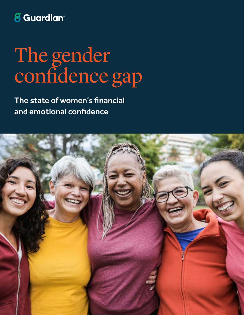## **8** Guardian<sup>®</sup>

# The gender confidence gap

The state of women's financial and emotional confidence

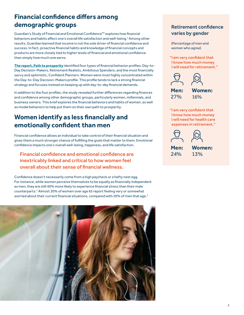## **Financial confidence differs among demographic groups**

Guardian's Study of Financial and Emotional Confidence™ explores how financial behaviors and habits affect one's overall life satisfaction and well-being.<sup>1</sup> Among other results, Guardian learned that income is not the sole driver of financial confidence and success. In fact, proactive financial habits and knowledge of financial concepts and products are more closely tied to higher levels of financial and emotional confidence than simply how much one earns.

**[The report](http://www.guardianlife.com/reports/financial-emotional-confidence), Path to prosperity** identified four types of financial behavior profiles: Day-to-Day Decision-Makers, Retirement Realists, Ambitious Spenders, and the most financially savvy and optimistic, Confident Planners. Women were most highly concentrated within the Day-to-Day Decision-Makers profile. This profile tends to lack a strong financial strategy and focuses instead on keeping up with day-to-day financial demands.

In addition to the four profiles, the study revealed further differences regarding finances and confidence among other demographic groups, particularly women, millennials, and business owners. This brief explores the financial behaviors and habits of women, as well as model behaviors to help put them on their own path to prosperity.

#### **Women identify as less financially and emotionally confident than men**

Financial confidence allows an individual to take control of their financial situation and gives them a much stronger chance of fulfilling the goals that matter to them. Emotional confidence impacts one's overall well-being, happiness, and life satisfaction.

#### Financial confidence and emotional confidence are inextricably linked and critical to how women feel overall about their sense of financial wellness.

Confidence doesn't necessarily come from a high paycheck or a hefty nest egg. For instance, while women perceive themselves to be equally as financially independent as men, they are still 40% more likely to experience financial stress than their male counterparts.<sup>2</sup> Almost 30% of women over age 65 report feeling very or somewhat worried about their current financial situations, compared with 20% of men that age.<sup>3</sup>



#### Retirement confidence varies by gender

(Percentage of men and women who agree)

"I am very confident that I know how much money I will need for retirement."



"I am very confident that I know how much money I will need for health care expenses in retirement."

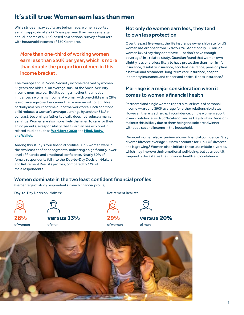#### **It's still true: Women earn less than men**

While strides in pay equity are being made, women reported earning approximately 22% less per year than men's average annual income of \$116K (based on a national survey of workers with household incomes of \$50K or more).

#### More than one-third of working women earn less than \$50K per year, which is more than double the proportion of men in this income bracket.

The average annual Social Security income received by women 65 years and older is, on average, 80% of the Social Security income men receive.4 But it's being a mother that mostly influences a woman's income. A woman with one child earns 28% less on average over her career than a woman without children, partially as a result of time out of the workforce. Each additional child reduces a woman's average earnings by another 3%.<sup>5</sup> In contrast, becoming a father typically does not reduce a man's earnings. Women are also more likely than men to care for their aging parents, a responsibility that Guardian has explored in related studies such as **[Workforce 2020](https://www.guardianlife.com/business/workforce-2020)** and **[Mind, Body,](https://www.guardianlife.com/reports/mind-body-wallet)  [and Wallet](https://www.guardianlife.com/reports/mind-body-wallet)**.

Among this study's four financial profiles, 3 in 5 women were in the two least confident segments, indicating a significantly lower level of financial and emotional confidence. Nearly 60% of female respondents fell into the Day-to-Day Decision-Makers and Retirement Realists profiles, compared to 33% of male respondents.

#### Not only do women earn less, they tend to own less protection

Over the past five years, the life insurance ownership rate for US women has dropped from 57% to 47%. Additionally, 56 million women (43%) say they don't have — or don't have enough coverage.6 In a related study, Guardian found that women own slightly less or are less likely to have protection than men in life insurance, disability insurance, accident insurance, pension plans, a last will and testament, long-term care insurance, hospital indemnity insurance, and cancer and critical illness insurance.<sup>7</sup>

#### Marriage is a major consideration when it comes to women's financial health

Partnered and single women report similar levels of personal income — around \$90K average for either relationship status. However, there is still a gap in confidence. Single women report lower confidence, with 33% categorized as Day-to-Day Decision-Makers; this is likely due to them being the sole breadwinner without a second income in the household.

Divorced women also experience lower financial confidence. Gray divorce (divorce over age 50) now accounts for 1 in 3 US divorces and is growing. $^{\text{8}}$  Women often initiate these late middle divorces, which may improve their emotional well-being, but as a result it frequently devastates their financial health and confidence.

#### Women dominate in the two least confident financial profiles

(Percentage of study respondents in each financial profile)

of women of women **28% 29% versus 13%** of men of men **versus 20%** Day-to-Day Decision-Makers: and the control of the Retirement Realists:

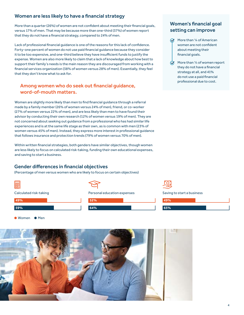#### Women are less likely to have a financial strategy

More than a quarter (26%) of women are not confident about meeting their financial goals, versus 17% of men. That may be because more than one-third (37%) of women report that they do not have a financial strategy, compared to 24% of men.

Lack of professional financial guidance is one of the reasons for this lack of confidence. Forty-one percent of women do not use paid financial guidance because they consider it to be too expensive, and one-third believe they have insufficient funds to justify the expense. Women are also more likely to claim that a lack of knowledge about how best to support their family's needs is the main reason they are discouraged from working with a financial services organization (38% of women versus 28% of men). Essentially, they feel that they don't know what to ask for.

#### Among women who do seek out financial guidance, word-of-mouth matters.

Women are slightly more likely than men to find financial guidance through a referral made by a family member (26% of women versus 24% of men), friend, or co-worker (27% of women versus 22% of men), and are less likely than men to have found their advisor by conducting their own research (12% of women versus 19% of men). They are not concerned about seeking out guidance from a professional who has had similar life experiences and is at the same life stage as their own, as is common with men (23% of women versus 45% of men). Instead, they express more interest in professional guidance that follows insurance and protection trends (79% of women versus 70% of men).

Within written financial strategies, both genders have similar objectives, though women are less likely to focus on calculated risk-taking, funding their own educational expenses, and saving to start a business.

#### Gender differences in financial objectives

● Women ● Men

(Percentage of men versus women who are likely to focus on certain objectives)





Saving to start a business

| 49% |  |
|-----|--|
|     |  |
| 65% |  |



#### Women's financial goal setting can improve

- More than 1/4 of American women are not confident about meeting their financial goals.
- More than  $\frac{1}{3}$  of women report they do not have a financial strategy at all, and 41% do not use a paid financial professional due to cost.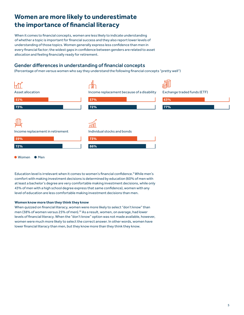#### **Women are more likely to underestimate the importance of financial literacy**

When it comes to financial concepts, women are less likely to indicate understanding of whether a topic is important for financial success and they also report lower levels of understanding of those topics. Women generally express less confidence than men in every financial factor; the widest gaps in confidence between genders are related to asset allocation and feeling financially ready for retirement.

#### Gender differences in understanding of financial concepts

(Percentage of men versus women who say they understand the following financial concepts "pretty well")



● Women ● Men

Education level is irrelevant when it comes to women's financial confidence.<sup>9</sup> While men's comfort with making investment decisions is determined by education (60% of men with at least a bachelor's degree are very comfortable making investment decisions, while only 43% of men with a high school degree express that same confidence), women with any level of education are less comfortable making investment decisions than men.

#### **Women know more than they think they know**

When quizzed on financial literacy, women were more likely to select "don't know" than men (38% of women versus 25% of men).<sup>10</sup> As a result, women, on average, had lower levels of financial literacy. When the "don't know" option was not made available, however, women were much more likely to select the correct answer. In other words, women have lower financial literacy than men, but they know more than they think they know.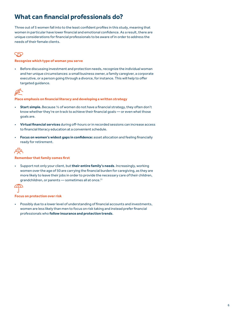## **What can financial professionals do?**

Three out of 5 women fall into to the least confident profiles in this study, meaning that women in particular have lower financial and emotional confidence. As a result, there are unique considerations for financial professionals to be aware of in order to address the needs of their female clients.

#### $\zeta$

#### **Recognize which type of woman you serve**

• Before discussing investment and protection needs, recognize the individual woman and her unique circumstances: a small business owner, a family caregiver, a corporate executive, or a person going through a divorce, for instance. This will help to offer targeted guidance.



#### **Place emphasis on financial literacy and developing a written strategy**

- **Start simple.** Because ⅓ of women do not have a financial strategy, they often don't know whether they're on track to achieve their financial goals — or even what those goals are.
- **Virtual financial services** during off-hours or in recorded sessions can increase access to financial literacy education at a convenient schedule.
- **Focus on women's widest gaps in confidence:** asset allocation and feeling financially ready for retirement.



#### **Remember that family comes first**

• Support not only your client, but **their entire family's needs**. Increasingly, working women over the age of 50 are carrying the financial burden for caregiving, as they are more likely to leave their jobs in order to provide the necessary care of their children, grandchildren, or parents - sometimes all at once.<sup>11</sup>



#### **Focus on protection over risk**

• Possibly due to a lower level of understanding of financial accounts and investments, women are less likely than men to focus on risk taking and instead prefer financial professionals who **follow insurance and protection trends**.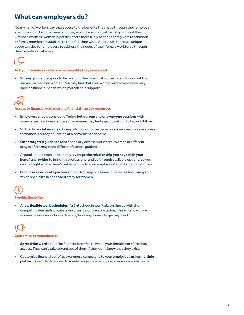#### **What can employers do?**

Nearly half of workers say that access to the benefits they have through their employer are more important than ever and they would face financial hardship without them.<sup>12</sup> Of those workers, women in particular are more likely to act as caregivers for children or family members in addition to their full-time work. As a result, there are unique opportunities for employers to address the needs of their female workforce through their benefits strategies.



**Ask your female workforce what benefits they care about**

• **Survey your employees** to learn about their financial concerns, and break out the survey via men and women. You may find that your women employees have very specific financial needs which you can help support.



**Access to financial guidance and financial literacy resources**

- Employers should consider **offering both group and one-on-one sessions** with financial professionals, since some women may find a group setting to be prohibitive.
- **Virtual financial services** during off-hours or in recorded sessions can increase access to financial literacy education at a convenient schedule.
- **Offer targeted guidance** for a financially diverse workforce. Women in different stages of life may need different financial guidance.
- Around annual open enrollment, **leverage the relationship you have with your benefits provider** to bring in a professional and go through available options, so you can highlight where there's value relative to your employees' specific circumstances.
- **Purchase a corporate partnership** with an app or a financial services firm, many of which specialize in financial literacy for women.

#### **Provide flexibility**

• **Allow flexible work schedules** if a 9-5 schedule won't always line up with the competing demands of caretaking, health, or transportation. This will allow more women to work more hours, thereby bringing home a larger paycheck.

**Customize communication**

- **Spread the word** about the financial benefits to which your female workforce has access. They can't take advantage of them if they don't know that they exist.
- Customize financial benefits awareness campaigns to your employees **using multiple platforms** in order to appeal to a wide range of generational communication needs.